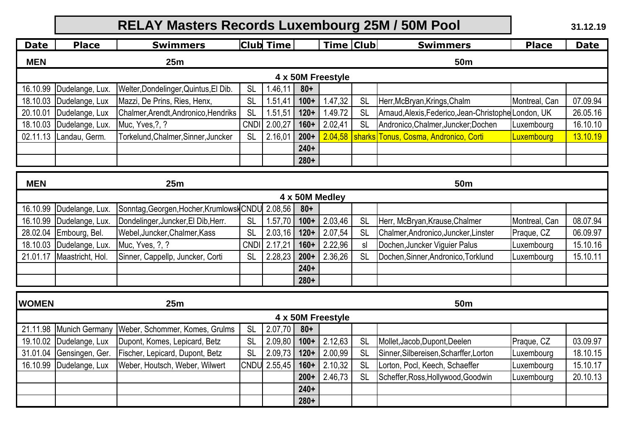|                                      |                  | 31.12.19                                         |             |                  |        |                   |            |                                                      |               |             |  |
|--------------------------------------|------------------|--------------------------------------------------|-------------|------------------|--------|-------------------|------------|------------------------------------------------------|---------------|-------------|--|
| <b>Date</b>                          | <b>Place</b>     | <b>Swimmers</b>                                  |             | <b>Club</b> Time |        | <b>Time Club</b>  |            | <b>Swimmers</b>                                      | <b>Place</b>  | <b>Date</b> |  |
| <b>MEN</b>                           |                  | 25m                                              |             |                  |        |                   | <b>50m</b> |                                                      |               |             |  |
| 4 x 50M Freestyle                    |                  |                                                  |             |                  |        |                   |            |                                                      |               |             |  |
| 16.10.99                             | Dudelange, Lux.  | Welter, Dondelinger, Quintus, El Dib.            | <b>SL</b>   | 1.46,11          | $80+$  |                   |            |                                                      |               |             |  |
| 18.10.03                             | Dudelange, Lux   | Mazzi, De Prins, Ries, Henx,                     | <b>SL</b>   | 1.51,41          | $100+$ | 1.47,32           | SL         | Herr, McBryan, Krings, Chalm                         | Montreal, Can | 07.09.94    |  |
| 20.10.01                             | Dudelange, Lux   | Chalmer, Arendt, Andronico, Hendriks             | <b>SL</b>   | 1.51,51          | $120+$ | 1.49.72           | <b>SL</b>  | Arnaud, Alexis, Federico, Jean-Christophe London, UK |               | 26.05.16    |  |
| 18.10.03                             | Dudelange, Lux.  | Muc, Yves, ?, ?                                  | <b>CNDI</b> | 2.00,27          | $160+$ | 2.02,41           | <b>SL</b>  | Andronico, Chalmer, Juncker; Dochen                  | Luxembourg    | 16.10.10    |  |
| 02.11.13                             | Landau, Germ.    | Torkelund, Chalmer, Sinner, Juncker              | <b>SL</b>   | 2.16,01          | $200+$ | 2.04,58           | sharks     | Tonus, Cosma, Andronico, Corti                       | Luxembourg    | 13.10.19    |  |
|                                      |                  |                                                  |             |                  | $240+$ |                   |            |                                                      |               |             |  |
|                                      |                  |                                                  |             |                  | $280+$ |                   |            |                                                      |               |             |  |
|                                      |                  |                                                  |             |                  |        |                   |            |                                                      |               |             |  |
| <b>MEN</b><br>25m<br>50 <sub>m</sub> |                  |                                                  |             |                  |        |                   |            |                                                      |               |             |  |
|                                      |                  |                                                  |             |                  |        | 4 x 50M Medley    |            |                                                      |               |             |  |
| 16.10.99                             | Dudelange, Lux.  | Sonntag, Georgen, Hocher, Krumlowsk CNDU 2.08,56 |             |                  | $80 +$ |                   |            |                                                      |               |             |  |
| 16.10.99                             | Dudelange, Lux.  | Dondelinger, Juncker, El Dib, Herr.              | <b>SL</b>   | 1.57,70          | $100+$ | 2.03,46           | <b>SL</b>  | Herr, McBryan, Krause, Chalmer                       | Montreal, Can | 08.07.94    |  |
| 28.02.04                             | Embourg, Bel.    | Webel, Juncker, Chalmer, Kass                    | <b>SL</b>   | 2.03,16          | $120+$ | 2.07,54           | <b>SL</b>  | Chalmer, Andronico, Juncker, Linster                 | Praque, CZ    | 06.09.97    |  |
| 18.10.03                             | Dudelange, Lux.  | Muc, Yves, ?, ?                                  | <b>CNDI</b> | 2.17,21          | $160+$ | 2.22,96           | sl         | Dochen, Juncker Viguier Palus                        | Luxembourg    | 15.10.16    |  |
| 21.01.17                             | Maastricht, Hol. | Sinner, Cappellp, Juncker, Corti                 | <b>SL</b>   | 2.28,23          | $200+$ | 2.36,26           | <b>SL</b>  | Dochen, Sinner, Andronico, Torklund                  | Luxembourg    | 15.10.11    |  |
|                                      |                  |                                                  |             |                  | $240+$ |                   |            |                                                      |               |             |  |
|                                      |                  |                                                  |             |                  | $280+$ |                   |            |                                                      |               |             |  |
| <b>WOMEN</b>                         |                  | 25m                                              |             |                  |        |                   |            | 50 <sub>m</sub>                                      |               |             |  |
|                                      |                  |                                                  |             |                  |        | 4 x 50M Freestyle |            |                                                      |               |             |  |
| 21.11.98                             | Munich Germany   | Weber, Schommer, Komes, Grulms                   | <b>SL</b>   | 2.07,70          | $80 +$ |                   |            |                                                      |               |             |  |
| 19.10.02                             | Dudelange, Lux   | Dupont, Komes, Lepicard, Betz                    | <b>SL</b>   | 2.09,80          | $100+$ | 2.12,63           | <b>SL</b>  | Mollet, Jacob, Dupont, Deelen                        | Praque, CZ    | 03.09.97    |  |
| 31.01.04                             | Gensingen, Ger.  | Fischer, Lepicard, Dupont, Betz                  | <b>SL</b>   | 2.09,73          | $120+$ | 2.00,99           | <b>SL</b>  | Sinner, Silbereisen, Scharffer, Lorton               | Luxembourg    | 18.10.15    |  |
| 16.10.99                             | Dudelange, Lux   | Weber, Houtsch, Weber, Wilwert                   |             | CNDU 2.55,45     | $160+$ | 2.10,32           | <b>SL</b>  | Lorton, Pocl, Keech, Schaeffer                       | Luxembourg    | 15.10.17    |  |
|                                      |                  |                                                  |             |                  | $200+$ | 2.46,73           | <b>SL</b>  | Scheffer, Ross, Hollywood, Goodwin                   | Luxembourg    | 20.10.13    |  |
|                                      |                  |                                                  |             |                  | $240+$ |                   |            |                                                      |               |             |  |
|                                      |                  |                                                  |             |                  | $280+$ |                   |            |                                                      |               |             |  |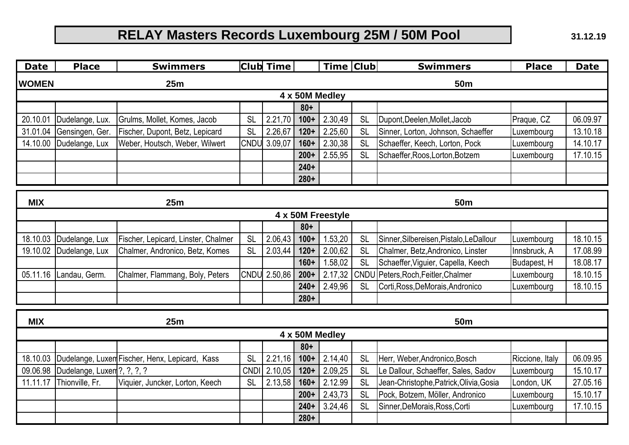**31.12.19**

| <b>Date</b>                          | <b>Club</b> Time<br>Time Club<br><b>Place</b><br><b>Swimmers</b><br><b>Swimmers</b> |                                                |             |              |         |                | <b>Place</b> | <b>Date</b>                             |                 |          |  |
|--------------------------------------|-------------------------------------------------------------------------------------|------------------------------------------------|-------------|--------------|---------|----------------|--------------|-----------------------------------------|-----------------|----------|--|
| <b>WOMEN</b>                         |                                                                                     | 25m                                            |             |              |         |                |              | <b>50m</b>                              |                 |          |  |
|                                      |                                                                                     |                                                |             |              |         | 4 x 50M Medley |              |                                         |                 |          |  |
|                                      |                                                                                     |                                                |             |              | $80 +$  |                |              |                                         |                 |          |  |
| 20.10.01                             | Dudelange, Lux.                                                                     | Grulms, Mollet, Komes, Jacob                   | <b>SL</b>   | 2.21,70      | $100+$  | 2.30,49        | <b>SL</b>    | Dupont, Deelen, Mollet, Jacob           | Praque, CZ      | 06.09.97 |  |
| 31.01.04                             | Gensingen, Ger.                                                                     | Fischer, Dupont, Betz, Lepicard                | <b>SL</b>   | 2.26,67      | $120+$  | 2.25,60        | <b>SL</b>    | Sinner, Lorton, Johnson, Schaeffer      | Luxembourg      | 13.10.18 |  |
| 14.10.00                             | Dudelange, Lux                                                                      | Weber, Houtsch, Weber, Wilwert                 | <b>CNDU</b> | 3.09,07      | $160+$  | 2.30,38        | <b>SL</b>    | Schaeffer, Keech, Lorton, Pock          | Luxembourg      | 14.10.17 |  |
|                                      |                                                                                     |                                                |             |              | $200+$  | 2.55,95        | <b>SL</b>    | Schaeffer, Roos, Lorton, Botzem         | Luxembourg      | 17.10.15 |  |
|                                      |                                                                                     |                                                |             |              | $240+$  |                |              |                                         |                 |          |  |
|                                      |                                                                                     |                                                |             |              | $280+$  |                |              |                                         |                 |          |  |
|                                      |                                                                                     |                                                |             |              |         |                |              |                                         |                 |          |  |
| <b>MIX</b><br>25m<br>50 <sub>m</sub> |                                                                                     |                                                |             |              |         |                |              |                                         |                 |          |  |
| 4 x 50M Freestyle                    |                                                                                     |                                                |             |              |         |                |              |                                         |                 |          |  |
|                                      |                                                                                     |                                                |             |              | $80 +$  |                |              |                                         |                 |          |  |
| 18.10.03                             | Dudelange, Lux                                                                      | Fischer, Lepicard, Linster, Chalmer            | <b>SL</b>   | 2.06,43      | $100+$  | 1.53,20        | <b>SL</b>    | Sinner, Silbereisen, Pistalo, LeDallour | Luxembourg      | 18.10.15 |  |
| 19.10.02                             | Dudelange, Lux                                                                      | Chalmer, Andronico, Betz, Komes                | <b>SL</b>   | 2.03,44      | $120 +$ | 2.00,62        | <b>SL</b>    | Chalmer, Betz, Andronico, Linster       | Innsbruck, A    | 17.08.99 |  |
|                                      |                                                                                     |                                                |             |              | $160+$  | 1.58,02        | <b>SL</b>    | Schaeffer, Viguier, Capella, Keech      | Budapest, H     | 18.08.17 |  |
| 05.11.16                             | Landau, Germ.                                                                       | Chalmer, Flammang, Boly, Peters                |             | CNDU 2.50,86 | $200+$  | 2.17,32        | CNDL         | Peters, Roch, Feitler, Chalmer          | Luxembourg      | 18.10.15 |  |
|                                      |                                                                                     |                                                |             |              | $240+$  | 2.49,96        | <b>SL</b>    | Corti, Ross, DeMorais, Andronico        | Luxembourg      | 18.10.15 |  |
|                                      |                                                                                     |                                                |             |              | $280+$  |                |              |                                         |                 |          |  |
| <b>MIX</b>                           |                                                                                     | 25m                                            |             |              |         |                |              | <b>50m</b>                              |                 |          |  |
|                                      |                                                                                     |                                                |             |              |         | 4 x 50M Medley |              |                                         |                 |          |  |
|                                      |                                                                                     |                                                |             |              | $80 +$  |                |              |                                         |                 |          |  |
| 18.10.03                             |                                                                                     | Dudelange, Luxen Fischer, Henx, Lepicard, Kass | <b>SL</b>   | 2.21,16      | $100+$  | 2.14,40        | <b>SL</b>    | Herr, Weber, Andronico, Bosch           | Riccione, Italy | 06.09.95 |  |
| 09.06.98                             | Dudelange, Luxen ?, ?, ?, ?                                                         |                                                | <b>CNDI</b> | 2.10,05      | $120 +$ | 2.09,25        | <b>SL</b>    | Le Dallour, Schaeffer, Sales, Sadov     | Luxembourg      | 15.10.17 |  |
| 11.11.17                             | Thionville, Fr.                                                                     | Viquier, Juncker, Lorton, Keech                | <b>SL</b>   | 2.13,58      | $160+$  | 2.12.99        | <b>SL</b>    | Jean-Christophe, Patrick, Olivia, Gosia | London, UK      | 27.05.16 |  |
|                                      |                                                                                     |                                                |             |              | $200+$  | 2.43,73        | <b>SL</b>    | Pock, Botzem, Möller, Andronico         | Luxembourg      | 15.10.17 |  |
|                                      |                                                                                     |                                                |             |              | $240+$  | 3.24,46        | <b>SL</b>    | Sinner, DeMorais, Ross, Corti           | Luxembourg      | 17.10.15 |  |
|                                      |                                                                                     |                                                |             |              | $280+$  |                |              |                                         |                 |          |  |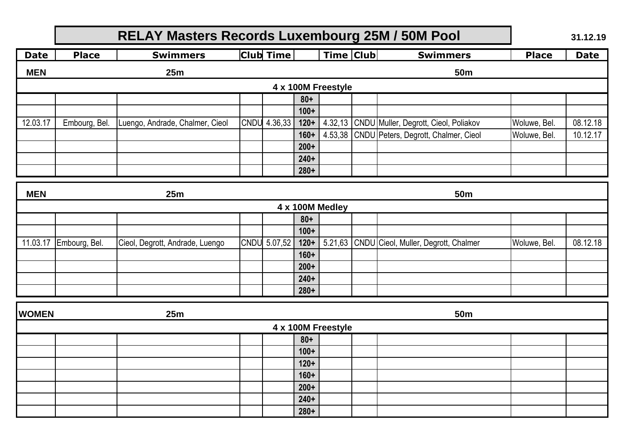|              |                    | 31.12.19                        |  |              |                  |                    |  |                                               |              |             |
|--------------|--------------------|---------------------------------|--|--------------|------------------|--------------------|--|-----------------------------------------------|--------------|-------------|
| <b>Date</b>  | <b>Place</b>       | <b>Swimmers</b>                 |  | Club Time    |                  | <b>Time Club</b>   |  | <b>Swimmers</b>                               | <b>Place</b> | <b>Date</b> |
| <b>MEN</b>   |                    | 25m                             |  |              |                  |                    |  | <b>50m</b>                                    |              |             |
|              | 4 x 100M Freestyle |                                 |  |              |                  |                    |  |                                               |              |             |
|              |                    |                                 |  |              | $80+$            |                    |  |                                               |              |             |
|              |                    |                                 |  |              | $100+$           |                    |  |                                               |              |             |
| 12.03.17     | Embourg, Bel.      | Luengo, Andrade, Chalmer, Cieol |  | CNDU 4.36,33 | $120+$           |                    |  | 4.32,13 CNDU Muller, Degrott, Cieol, Poliakov | Woluwe, Bel. | 08.12.18    |
|              |                    |                                 |  |              | $160+$           |                    |  | 4.53,38 CNDU Peters, Degrott, Chalmer, Cieol  | Woluwe, Bel. | 10.12.17    |
|              |                    |                                 |  |              | $200+$           |                    |  |                                               |              |             |
|              |                    |                                 |  |              | $240+$           |                    |  |                                               |              |             |
|              |                    |                                 |  |              | $280+$           |                    |  |                                               |              |             |
| <b>MEN</b>   | 25m<br><b>50m</b>  |                                 |  |              |                  |                    |  |                                               |              |             |
|              |                    |                                 |  |              |                  | 4 x 100M Medley    |  |                                               |              |             |
|              |                    |                                 |  |              | $80+$            |                    |  |                                               |              |             |
|              |                    |                                 |  |              | $100+$           |                    |  |                                               |              |             |
| 11.03.17     | Embourg, Bel.      | Cieol, Degrott, Andrade, Luengo |  | CNDU 5.07,52 | $120+$           |                    |  | 5.21,63 CNDU Cieol, Muller, Degrott, Chalmer  | Woluwe, Bel. | 08.12.18    |
|              |                    |                                 |  |              | $160+$           |                    |  |                                               |              |             |
|              |                    |                                 |  |              | $200+$           |                    |  |                                               |              |             |
|              |                    |                                 |  |              | $240+$           |                    |  |                                               |              |             |
|              |                    |                                 |  |              | $280+$           |                    |  |                                               |              |             |
| <b>WOMEN</b> |                    | 25m                             |  |              |                  |                    |  | 50 <sub>m</sub>                               |              |             |
|              |                    |                                 |  |              |                  | 4 x 100M Freestyle |  |                                               |              |             |
|              |                    |                                 |  |              | $80 +$           |                    |  |                                               |              |             |
|              |                    |                                 |  |              | $100+$           |                    |  |                                               |              |             |
|              |                    |                                 |  |              | $120+$           |                    |  |                                               |              |             |
|              |                    |                                 |  |              | $160+$<br>$200+$ |                    |  |                                               |              |             |
|              |                    |                                 |  |              | $240+$           |                    |  |                                               |              |             |
|              |                    |                                 |  |              | $280+$           |                    |  |                                               |              |             |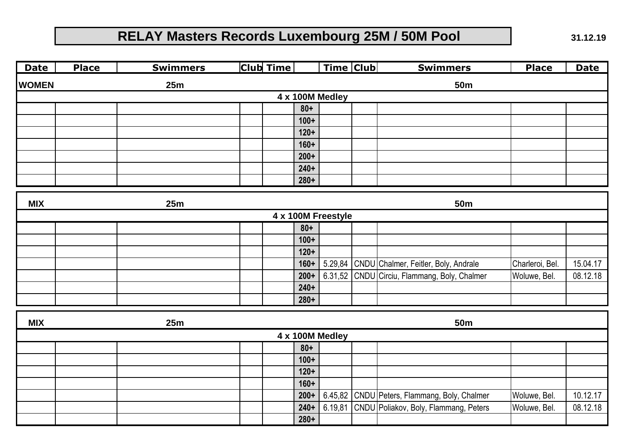**Date Place Swimmers Club Time Time Club Swimmers Place Date WOMEN 80+ 100+ 120+ 160+ 200+ 240+ 280+ MIX 80+ 100+ 120+ 160+** 5.29,84 CNDU Chalmer, Feitler, Boly, Andrale Charleroi, Bel. 15.04.17 200+ 6.31,52 CNDU Circiu, Flammang, Boly, Chalmer Woluwe, Bel. | 08.12.18 **240+ 280+ MIX 4 x 100M Medley 25m 50m 4 x 100M Freestyle 25m 50m 25m 50m**

| 4 x 100M Medley |  |  |  |        |  |  |                                               |              |          |  |  |
|-----------------|--|--|--|--------|--|--|-----------------------------------------------|--------------|----------|--|--|
|                 |  |  |  | $80+$  |  |  |                                               |              |          |  |  |
|                 |  |  |  | $100+$ |  |  |                                               |              |          |  |  |
|                 |  |  |  | $120+$ |  |  |                                               |              |          |  |  |
|                 |  |  |  | $160+$ |  |  |                                               |              |          |  |  |
|                 |  |  |  | $200+$ |  |  | 6.45,82 CNDU Peters, Flammang, Boly, Chalmer  | Woluwe, Bel. | 10.12.17 |  |  |
|                 |  |  |  | $240+$ |  |  | 6.19,81 CNDU Poliakov, Boly, Flammang, Peters | Woluwe, Bel. | 08.12.18 |  |  |
|                 |  |  |  | $280+$ |  |  |                                               |              |          |  |  |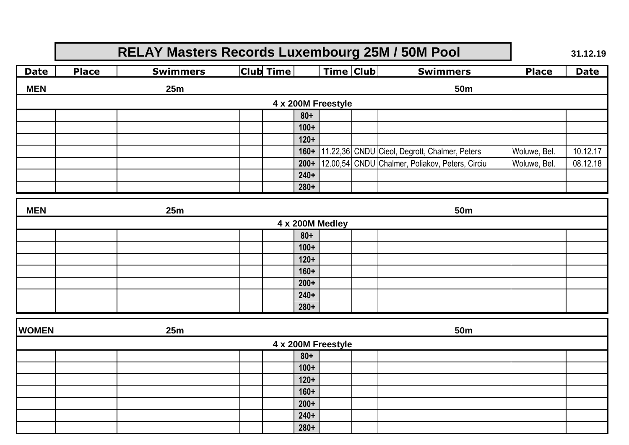**31.12.19**

| <b>Date</b> | <b>Place</b>       | <b>Swimmers</b> | <b>Club</b> Time |        | <b>Time Club</b> |  | <b>Swimmers</b>                                 | <b>Place</b> | <b>Date</b> |  |  |
|-------------|--------------------|-----------------|------------------|--------|------------------|--|-------------------------------------------------|--------------|-------------|--|--|
| <b>MEN</b>  |                    | 25m             |                  |        |                  |  | 50 <sub>m</sub>                                 |              |             |  |  |
|             | 4 x 200M Freestyle |                 |                  |        |                  |  |                                                 |              |             |  |  |
|             |                    |                 |                  | $80 +$ |                  |  |                                                 |              |             |  |  |
|             |                    |                 |                  | $100+$ |                  |  |                                                 |              |             |  |  |
|             |                    |                 |                  | $120+$ |                  |  |                                                 |              |             |  |  |
|             |                    |                 |                  | $160+$ |                  |  | 11.22,36 CNDU Cieol, Degrott, Chalmer, Peters   | Woluwe, Bel. | 10.12.17    |  |  |
|             |                    |                 |                  | $200+$ |                  |  | 12.00,54 CNDU Chalmer, Poliakov, Peters, Circiu | Woluwe, Bel. | 08.12.18    |  |  |
|             |                    |                 |                  | $240+$ |                  |  |                                                 |              |             |  |  |
|             |                    |                 |                  | $280+$ |                  |  |                                                 |              |             |  |  |

| <b>MEN</b> | 25m             | 50 <sub>m</sub> |        |  |  |  |  |  |  |  |
|------------|-----------------|-----------------|--------|--|--|--|--|--|--|--|
|            | 4 x 200M Medley |                 |        |  |  |  |  |  |  |  |
|            |                 |                 | $80+$  |  |  |  |  |  |  |  |
|            |                 |                 | $100+$ |  |  |  |  |  |  |  |
|            |                 |                 | $120+$ |  |  |  |  |  |  |  |
|            |                 |                 | $160+$ |  |  |  |  |  |  |  |
|            |                 |                 | $200+$ |  |  |  |  |  |  |  |
|            |                 |                 | $240+$ |  |  |  |  |  |  |  |
|            |                 |                 | $280+$ |  |  |  |  |  |  |  |

| <b>WOMEN</b> | 25m                | <b>50m</b> |        |  |  |  |  |  |  |  |  |  |
|--------------|--------------------|------------|--------|--|--|--|--|--|--|--|--|--|
|              | 4 x 200M Freestyle |            |        |  |  |  |  |  |  |  |  |  |
|              |                    |            | $80 +$ |  |  |  |  |  |  |  |  |  |
|              |                    |            | $100+$ |  |  |  |  |  |  |  |  |  |
|              |                    |            | $120+$ |  |  |  |  |  |  |  |  |  |
|              |                    |            | $160+$ |  |  |  |  |  |  |  |  |  |
|              |                    |            | $200+$ |  |  |  |  |  |  |  |  |  |
|              |                    |            | $240+$ |  |  |  |  |  |  |  |  |  |
|              |                    |            | $280+$ |  |  |  |  |  |  |  |  |  |